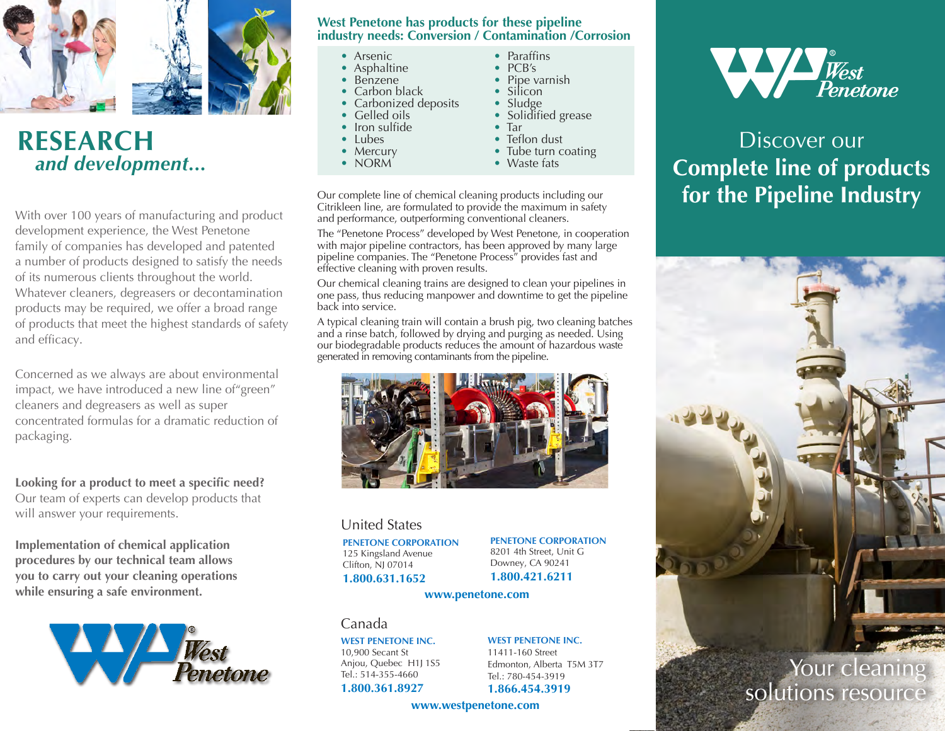

# **RESEARCH**  *and development...*

With over 100 years of manufacturing and product development experience, the West Penetone family of companies has developed and patented a number of products designed to satisfy the needs of its numerous clients throughout the world. Whatever cleaners, degreasers or decontamination products may be required, we offer a broad range of products that meet the highest standards of safety and efficacy.

Concerned as we always are about environmental impact, we have introduced a new line of"green" cleaners and degreasers as well as super concentrated formulas for a dramatic reduction of packaging.

**Looking for a product to meet a specific need?** Our team of experts can develop products that will answer your requirements.

**Implementation of chemical application procedures by our technical team allows you to carry out your cleaning operations while ensuring a safe environment.**



### **West Penetone has products for these pipeline industry needs: Conversion / Contamination /Corrosion**

- Arsenic
- Asphaltine
- Benzene
- Carbon black
- Carbonized deposits
- Gelled oils • Iron sulfide
- Lubes
- 
- Mercury
- NORM
- Paraffins
- PCB's
- Pipe varnish
- Silicon
- Sludge
- Solidified grease
- Tar • Teflon dust
- Tube turn coating
- Waste fats
- 

Our complete line of chemical cleaning products including our Citrikleen line, are formulated to provide the maximum in safety and performance, outperforming conventional cleaners.

The "Penetone Process" developed by West Penetone, in cooperation with major pipeline contractors, has been approved by many large pipeline companies. The "Penetone Process" provides fast and effective cleaning with proven results.

Our chemical cleaning trains are designed to clean your pipelines in one pass, thus reducing manpower and downtime to get the pipeline back into service.

A typical cleaning train will contain a brush pig, two cleaning batches and a rinse batch, followed by drying and purging as needed. Using our biodegradable products reduces the amount of hazardous waste generated in removing contaminants from the pipeline.



## United States

**PENETONE CORPORATION** 125 Kingsland Avenue Clifton, NJ 07014 **1.800.631.1652**

**PENETONE CORPORATION** 8201 4th Street, Unit G Downey, CA 90241

**1.800.421.6211**

#### **www.penetone.com**

## Canada

**WEST PENETONE INC.** 10,900 Secant St Anjou, Quebec H1J 1S5 Tel.: 514-355-4660

#### **1.800.361.8927**

**WEST PENETONE INC.** 11411-160 Street

Edmonton, Alberta T5M 3T7 Tel.: 780-454-3919 **1.866.454.3919**

**www.westpenetone.com**



Discover our **Complete line of products for the Pipeline Industry**